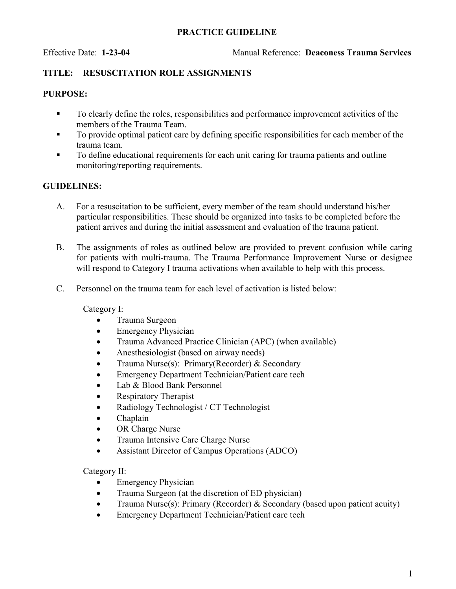#### PRACTICE GUIDELINE

#### TITLE: RESUSCITATION ROLE ASSIGNMENTS

#### PURPOSE:

- To clearly define the roles, responsibilities and performance improvement activities of the members of the Trauma Team.
- To provide optimal patient care by defining specific responsibilities for each member of the trauma team.
- To define educational requirements for each unit caring for trauma patients and outline monitoring/reporting requirements.

### GUIDELINES:

- A. For a resuscitation to be sufficient, every member of the team should understand his/her particular responsibilities. These should be organized into tasks to be completed before the patient arrives and during the initial assessment and evaluation of the trauma patient.
- B. The assignments of roles as outlined below are provided to prevent confusion while caring for patients with multi-trauma. The Trauma Performance Improvement Nurse or designee will respond to Category I trauma activations when available to help with this process.
- C. Personnel on the trauma team for each level of activation is listed below:

Category I:

- Trauma Surgeon
- Emergency Physician
- Trauma Advanced Practice Clinician (APC) (when available)
- Anesthesiologist (based on airway needs)
- Trauma Nurse(s): Primary(Recorder) & Secondary
- **Emergency Department Technician/Patient care tech**
- Lab & Blood Bank Personnel
- Respiratory Therapist
- Radiology Technologist / CT Technologist
- Chaplain
- OR Charge Nurse
- Trauma Intensive Care Charge Nurse
- Assistant Director of Campus Operations (ADCO)

Category II:

- Emergency Physician
- Trauma Surgeon (at the discretion of ED physician)
- Trauma Nurse(s): Primary (Recorder) & Secondary (based upon patient acuity)
- Emergency Department Technician/Patient care tech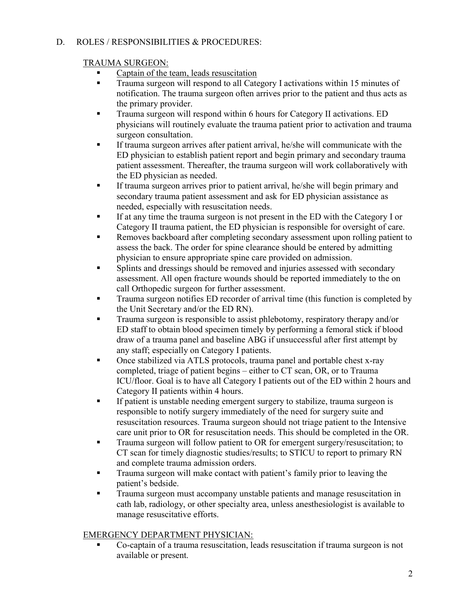### D. ROLES / RESPONSIBILITIES & PROCEDURES:

### TRAUMA SURGEON:

- Captain of the team, leads resuscitation
- **Trauma surgeon will respond to all Category I activations within 15 minutes of** notification. The trauma surgeon often arrives prior to the patient and thus acts as the primary provider.
- Trauma surgeon will respond within 6 hours for Category II activations. ED physicians will routinely evaluate the trauma patient prior to activation and trauma surgeon consultation.
- If trauma surgeon arrives after patient arrival, he/she will communicate with the ED physician to establish patient report and begin primary and secondary trauma patient assessment. Thereafter, the trauma surgeon will work collaboratively with the ED physician as needed.
- If trauma surgeon arrives prior to patient arrival, he/she will begin primary and secondary trauma patient assessment and ask for ED physician assistance as needed, especially with resuscitation needs.
- If at any time the trauma surgeon is not present in the ED with the Category I or Category II trauma patient, the ED physician is responsible for oversight of care.
- Removes backboard after completing secondary assessment upon rolling patient to assess the back. The order for spine clearance should be entered by admitting physician to ensure appropriate spine care provided on admission.
- Splints and dressings should be removed and injuries assessed with secondary assessment. All open fracture wounds should be reported immediately to the on call Orthopedic surgeon for further assessment.
- Trauma surgeon notifies ED recorder of arrival time (this function is completed by the Unit Secretary and/or the ED RN).
- Trauma surgeon is responsible to assist phlebotomy, respiratory therapy and/or ED staff to obtain blood specimen timely by performing a femoral stick if blood draw of a trauma panel and baseline ABG if unsuccessful after first attempt by any staff; especially on Category I patients.
- Once stabilized via ATLS protocols, trauma panel and portable chest x-ray completed, triage of patient begins – either to CT scan, OR, or to Trauma ICU/floor. Goal is to have all Category I patients out of the ED within 2 hours and Category II patients within 4 hours.
- If patient is unstable needing emergent surgery to stabilize, trauma surgeon is responsible to notify surgery immediately of the need for surgery suite and resuscitation resources. Trauma surgeon should not triage patient to the Intensive care unit prior to OR for resuscitation needs. This should be completed in the OR.
- **Trauma surgeon will follow patient to OR for emergent surgery/resuscitation; to** CT scan for timely diagnostic studies/results; to STICU to report to primary RN and complete trauma admission orders.
- Trauma surgeon will make contact with patient's family prior to leaving the patient's bedside.
- Trauma surgeon must accompany unstable patients and manage resuscitation in cath lab, radiology, or other specialty area, unless anesthesiologist is available to manage resuscitative efforts.

## EMERGENCY DEPARTMENT PHYSICIAN:

 Co-captain of a trauma resuscitation, leads resuscitation if trauma surgeon is not available or present.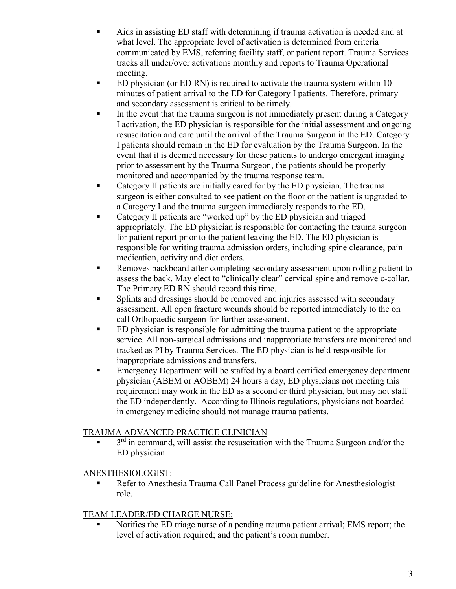- Aids in assisting ED staff with determining if trauma activation is needed and at what level. The appropriate level of activation is determined from criteria communicated by EMS, referring facility staff, or patient report. Trauma Services tracks all under/over activations monthly and reports to Trauma Operational meeting.
- ED physician (or ED RN) is required to activate the trauma system within 10 minutes of patient arrival to the ED for Category I patients. Therefore, primary and secondary assessment is critical to be timely.
- In the event that the trauma surgeon is not immediately present during a Category I activation, the ED physician is responsible for the initial assessment and ongoing resuscitation and care until the arrival of the Trauma Surgeon in the ED. Category I patients should remain in the ED for evaluation by the Trauma Surgeon. In the event that it is deemed necessary for these patients to undergo emergent imaging prior to assessment by the Trauma Surgeon, the patients should be properly monitored and accompanied by the trauma response team.
- Category II patients are initially cared for by the ED physician. The trauma surgeon is either consulted to see patient on the floor or the patient is upgraded to a Category I and the trauma surgeon immediately responds to the ED.
- Category II patients are "worked up" by the ED physician and triaged appropriately. The ED physician is responsible for contacting the trauma surgeon for patient report prior to the patient leaving the ED. The ED physician is responsible for writing trauma admission orders, including spine clearance, pain medication, activity and diet orders.
- Removes backboard after completing secondary assessment upon rolling patient to assess the back. May elect to "clinically clear" cervical spine and remove c-collar. The Primary ED RN should record this time.
- **Splints and dressings should be removed and injuries assessed with secondary** assessment. All open fracture wounds should be reported immediately to the on call Orthopaedic surgeon for further assessment.
- **ED** physician is responsible for admitting the trauma patient to the appropriate service. All non-surgical admissions and inappropriate transfers are monitored and tracked as PI by Trauma Services. The ED physician is held responsible for inappropriate admissions and transfers.
- Emergency Department will be staffed by a board certified emergency department physician (ABEM or AOBEM) 24 hours a day, ED physicians not meeting this requirement may work in the ED as a second or third physician, but may not staff the ED independently. According to Illinois regulations, physicians not boarded in emergency medicine should not manage trauma patients.

# TRAUMA ADVANCED PRACTICE CLINICIAN

 $\blacksquare$  3<sup>rd</sup> in command, will assist the resuscitation with the Trauma Surgeon and/or the ED physician

# ANESTHESIOLOGIST:

Refer to Anesthesia Trauma Call Panel Process guideline for Anesthesiologist role.

# TEAM LEADER/ED CHARGE NURSE:

 Notifies the ED triage nurse of a pending trauma patient arrival; EMS report; the level of activation required; and the patient's room number.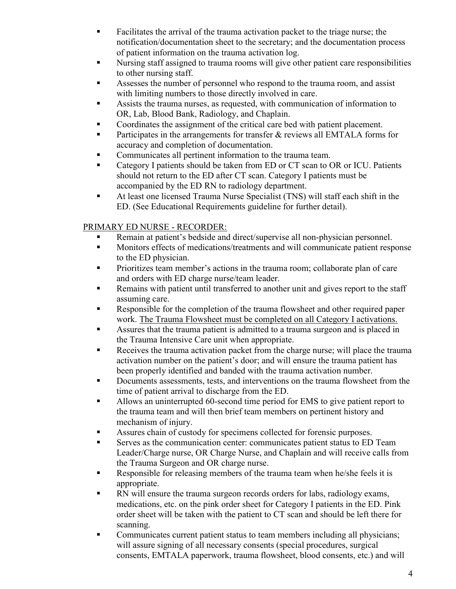- **Facilitates the arrival of the trauma activation packet to the triage nurse; the** notification/documentation sheet to the secretary; and the documentation process of patient information on the trauma activation log.
- Nursing staff assigned to trauma rooms will give other patient care responsibilities to other nursing staff.
- Assesses the number of personnel who respond to the trauma room, and assist with limiting numbers to those directly involved in care.
- Assists the trauma nurses, as requested, with communication of information to OR, Lab, Blood Bank, Radiology, and Chaplain.
- Coordinates the assignment of the critical care bed with patient placement.
- Participates in the arrangements for transfer & reviews all EMTALA forms for accuracy and completion of documentation.
- Communicates all pertinent information to the trauma team.
- Category I patients should be taken from ED or CT scan to OR or ICU. Patients should not return to the ED after CT scan. Category I patients must be accompanied by the ED RN to radiology department.
- At least one licensed Trauma Nurse Specialist (TNS) will staff each shift in the ED. (See Educational Requirements guideline for further detail).

# PRIMARY ED NURSE - RECORDER:

- Remain at patient's bedside and direct/supervise all non-physician personnel.
- **Monitors effects of medications/treatments and will communicate patient response** to the ED physician.
- Prioritizes team member's actions in the trauma room; collaborate plan of care and orders with ED charge nurse/team leader.
- Remains with patient until transferred to another unit and gives report to the staff assuming care.
- Responsible for the completion of the trauma flowsheet and other required paper work. The Trauma Flowsheet must be completed on all Category I activations.
- Assures that the trauma patient is admitted to a trauma surgeon and is placed in the Trauma Intensive Care unit when appropriate.
- Receives the trauma activation packet from the charge nurse; will place the trauma activation number on the patient's door; and will ensure the trauma patient has been properly identified and banded with the trauma activation number.
- Documents assessments, tests, and interventions on the trauma flowsheet from the time of patient arrival to discharge from the ED.
- Allows an uninterrupted 60-second time period for EMS to give patient report to the trauma team and will then brief team members on pertinent history and mechanism of injury.
- Assures chain of custody for specimens collected for forensic purposes.
- Serves as the communication center: communicates patient status to ED Team Leader/Charge nurse, OR Charge Nurse, and Chaplain and will receive calls from the Trauma Surgeon and OR charge nurse.
- Responsible for releasing members of the trauma team when he/she feels it is appropriate.
- RN will ensure the trauma surgeon records orders for labs, radiology exams, medications, etc. on the pink order sheet for Category I patients in the ED. Pink order sheet will be taken with the patient to CT scan and should be left there for scanning.
- Communicates current patient status to team members including all physicians; will assure signing of all necessary consents (special procedures, surgical consents, EMTALA paperwork, trauma flowsheet, blood consents, etc.) and will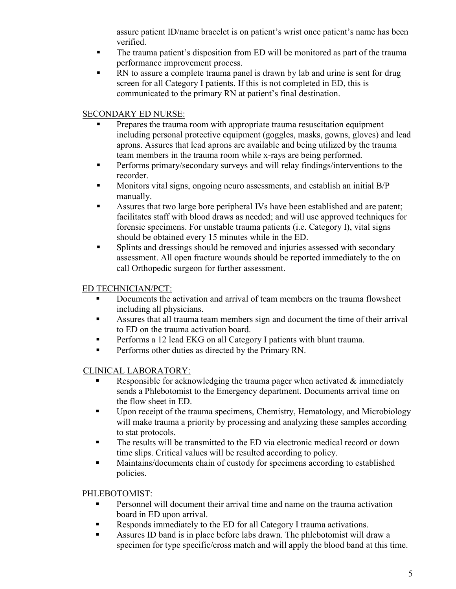assure patient ID/name bracelet is on patient's wrist once patient's name has been verified.

- The trauma patient's disposition from ED will be monitored as part of the trauma performance improvement process.
- RN to assure a complete trauma panel is drawn by lab and urine is sent for drug screen for all Category I patients. If this is not completed in ED, this is communicated to the primary RN at patient's final destination.

## SECONDARY ED NURSE:

- Prepares the trauma room with appropriate trauma resuscitation equipment including personal protective equipment (goggles, masks, gowns, gloves) and lead aprons. Assures that lead aprons are available and being utilized by the trauma team members in the trauma room while x-rays are being performed.
- **Performs primary/secondary surveys and will relay findings/interventions to the** recorder.
- **Monitors vital signs, ongoing neuro assessments, and establish an initial B/P** manually.
- Assures that two large bore peripheral IVs have been established and are patent; facilitates staff with blood draws as needed; and will use approved techniques for forensic specimens. For unstable trauma patients (i.e. Category I), vital signs should be obtained every 15 minutes while in the ED.
- **Splints and dressings should be removed and injuries assessed with secondary** assessment. All open fracture wounds should be reported immediately to the on call Orthopedic surgeon for further assessment.

## ED TECHNICIAN/PCT:

- Documents the activation and arrival of team members on the trauma flowsheet including all physicians.
- Assures that all trauma team members sign and document the time of their arrival to ED on the trauma activation board.
- Performs a 12 lead EKG on all Category I patients with blunt trauma.
- **Performs other duties as directed by the Primary RN.**

## CLINICAL LABORATORY:

- Responsible for acknowledging the trauma pager when activated & immediately sends a Phlebotomist to the Emergency department. Documents arrival time on the flow sheet in ED.
- Upon receipt of the trauma specimens, Chemistry, Hematology, and Microbiology will make trauma a priority by processing and analyzing these samples according to stat protocols.
- The results will be transmitted to the ED via electronic medical record or down time slips. Critical values will be resulted according to policy.
- **Maintains/documents chain of custody for specimens according to established** policies.

### PHLEBOTOMIST:

- **Personnel will document their arrival time and name on the trauma activation** board in ED upon arrival.
- Responds immediately to the ED for all Category I trauma activations.
- Assures ID band is in place before labs drawn. The phlebotomist will draw a specimen for type specific/cross match and will apply the blood band at this time.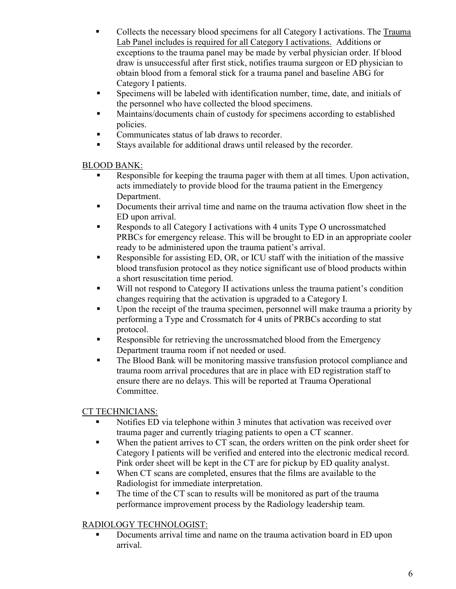- Collects the necessary blood specimens for all Category I activations. The Trauma Lab Panel includes is required for all Category I activations. Additions or exceptions to the trauma panel may be made by verbal physician order. If blood draw is unsuccessful after first stick, notifies trauma surgeon or ED physician to obtain blood from a femoral stick for a trauma panel and baseline ABG for Category I patients.
- Specimens will be labeled with identification number, time, date, and initials of the personnel who have collected the blood specimens.
- Maintains/documents chain of custody for specimens according to established policies.
- Communicates status of lab draws to recorder.
- Stays available for additional draws until released by the recorder.

## BLOOD BANK:

- Responsible for keeping the trauma pager with them at all times. Upon activation, acts immediately to provide blood for the trauma patient in the Emergency Department.
- Documents their arrival time and name on the trauma activation flow sheet in the ED upon arrival.
- Responds to all Category I activations with 4 units Type O uncrossmatched PRBCs for emergency release. This will be brought to ED in an appropriate cooler ready to be administered upon the trauma patient's arrival.
- Responsible for assisting ED, OR, or ICU staff with the initiation of the massive blood transfusion protocol as they notice significant use of blood products within a short resuscitation time period.
- Will not respond to Category II activations unless the trauma patient's condition changes requiring that the activation is upgraded to a Category I.
- Upon the receipt of the trauma specimen, personnel will make trauma a priority by performing a Type and Crossmatch for 4 units of PRBCs according to stat protocol.
- Responsible for retrieving the uncrossmatched blood from the Emergency Department trauma room if not needed or used.
- The Blood Bank will be monitoring massive transfusion protocol compliance and trauma room arrival procedures that are in place with ED registration staff to ensure there are no delays. This will be reported at Trauma Operational Committee.

# CT TECHNICIANS:

- Notifies ED via telephone within 3 minutes that activation was received over trauma pager and currently triaging patients to open a CT scanner.
- When the patient arrives to CT scan, the orders written on the pink order sheet for Category I patients will be verified and entered into the electronic medical record. Pink order sheet will be kept in the CT are for pickup by ED quality analyst.
- When CT scans are completed, ensures that the films are available to the Radiologist for immediate interpretation.
- The time of the CT scan to results will be monitored as part of the trauma performance improvement process by the Radiology leadership team.

# RADIOLOGY TECHNOLOGIST:

Documents arrival time and name on the trauma activation board in ED upon arrival.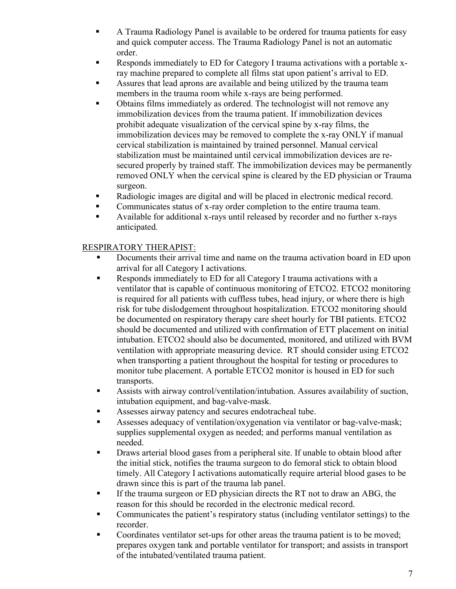- A Trauma Radiology Panel is available to be ordered for trauma patients for easy and quick computer access. The Trauma Radiology Panel is not an automatic order.
- Responds immediately to ED for Category I trauma activations with a portable xray machine prepared to complete all films stat upon patient's arrival to ED.
- Assures that lead aprons are available and being utilized by the trauma team members in the trauma room while x-rays are being performed.
- Obtains films immediately as ordered. The technologist will not remove any immobilization devices from the trauma patient. If immobilization devices prohibit adequate visualization of the cervical spine by x-ray films, the immobilization devices may be removed to complete the x-ray ONLY if manual cervical stabilization is maintained by trained personnel. Manual cervical stabilization must be maintained until cervical immobilization devices are resecured properly by trained staff. The immobilization devices may be permanently removed ONLY when the cervical spine is cleared by the ED physician or Trauma surgeon.
- Radiologic images are digital and will be placed in electronic medical record.
- Communicates status of x-ray order completion to the entire trauma team.
- Available for additional x-rays until released by recorder and no further x-rays anticipated.

### RESPIRATORY THERAPIST:

- Documents their arrival time and name on the trauma activation board in ED upon arrival for all Category I activations.
- Responds immediately to ED for all Category I trauma activations with a ventilator that is capable of continuous monitoring of ETCO2. ETCO2 monitoring is required for all patients with cuffless tubes, head injury, or where there is high risk for tube dislodgement throughout hospitalization. ETCO2 monitoring should be documented on respiratory therapy care sheet hourly for TBI patients. ETCO2 should be documented and utilized with confirmation of ETT placement on initial intubation. ETCO2 should also be documented, monitored, and utilized with BVM ventilation with appropriate measuring device. RT should consider using ETCO2 when transporting a patient throughout the hospital for testing or procedures to monitor tube placement. A portable ETCO2 monitor is housed in ED for such transports.
- Assists with airway control/ventilation/intubation. Assures availability of suction, intubation equipment, and bag-valve-mask.
- Assesses airway patency and secures endotracheal tube.
- Assesses adequacy of ventilation/oxygenation via ventilator or bag-valve-mask; supplies supplemental oxygen as needed; and performs manual ventilation as needed.
- Draws arterial blood gases from a peripheral site. If unable to obtain blood after the initial stick, notifies the trauma surgeon to do femoral stick to obtain blood timely. All Category I activations automatically require arterial blood gases to be drawn since this is part of the trauma lab panel.
- If the trauma surgeon or ED physician directs the RT not to draw an ABG, the reason for this should be recorded in the electronic medical record.
- Communicates the patient's respiratory status (including ventilator settings) to the recorder.
- Coordinates ventilator set-ups for other areas the trauma patient is to be moved; prepares oxygen tank and portable ventilator for transport; and assists in transport of the intubated/ventilated trauma patient.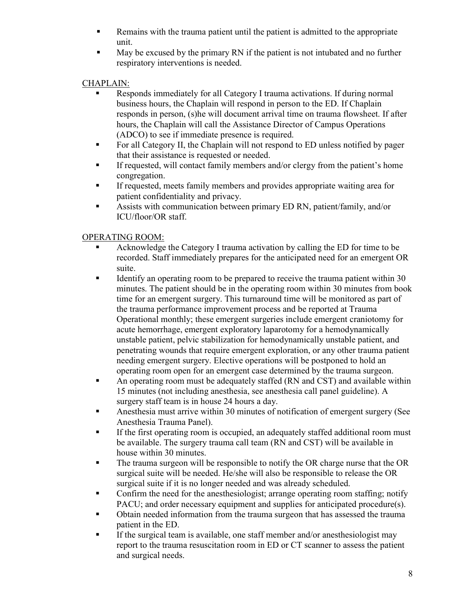- **Remains with the trauma patient until the patient is admitted to the appropriate** unit.
- May be excused by the primary RN if the patient is not intubated and no further respiratory interventions is needed.

# CHAPLAIN:

- Responds immediately for all Category I trauma activations. If during normal business hours, the Chaplain will respond in person to the ED. If Chaplain responds in person, (s)he will document arrival time on trauma flowsheet. If after hours, the Chaplain will call the Assistance Director of Campus Operations (ADCO) to see if immediate presence is required.
- For all Category II, the Chaplain will not respond to ED unless notified by pager that their assistance is requested or needed.
- If requested, will contact family members and/or clergy from the patient's home congregation.
- If requested, meets family members and provides appropriate waiting area for patient confidentiality and privacy.
- Assists with communication between primary ED RN, patient/family, and/or ICU/floor/OR staff.

# OPERATING ROOM:

- Acknowledge the Category I trauma activation by calling the ED for time to be recorded. Staff immediately prepares for the anticipated need for an emergent OR suite.
- Identify an operating room to be prepared to receive the trauma patient within 30 minutes. The patient should be in the operating room within 30 minutes from book time for an emergent surgery. This turnaround time will be monitored as part of the trauma performance improvement process and be reported at Trauma Operational monthly; these emergent surgeries include emergent craniotomy for acute hemorrhage, emergent exploratory laparotomy for a hemodynamically unstable patient, pelvic stabilization for hemodynamically unstable patient, and penetrating wounds that require emergent exploration, or any other trauma patient needing emergent surgery. Elective operations will be postponed to hold an operating room open for an emergent case determined by the trauma surgeon.
- **EXTERN** An operating room must be adequately staffed (RN and CST) and available within 15 minutes (not including anesthesia, see anesthesia call panel guideline). A surgery staff team is in house 24 hours a day.
- Anesthesia must arrive within 30 minutes of notification of emergent surgery (See Anesthesia Trauma Panel).
- If the first operating room is occupied, an adequately staffed additional room must be available. The surgery trauma call team (RN and CST) will be available in house within 30 minutes.
- The trauma surgeon will be responsible to notify the OR charge nurse that the OR surgical suite will be needed. He/she will also be responsible to release the OR surgical suite if it is no longer needed and was already scheduled.
- Confirm the need for the anesthesiologist; arrange operating room staffing; notify PACU; and order necessary equipment and supplies for anticipated procedure(s).
- Obtain needed information from the trauma surgeon that has assessed the trauma patient in the ED.
- If the surgical team is available, one staff member and/or anesthesiologist may report to the trauma resuscitation room in ED or CT scanner to assess the patient and surgical needs.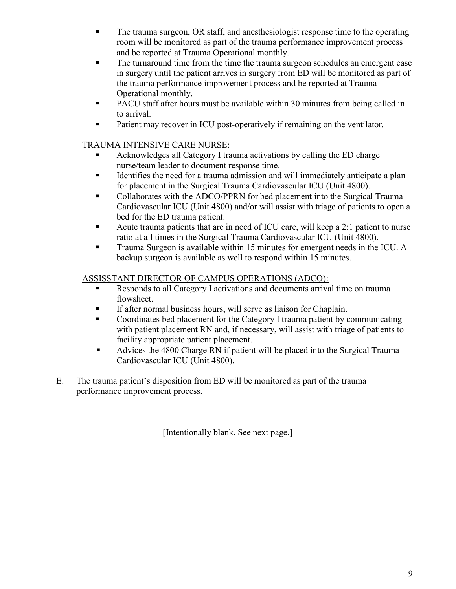- The trauma surgeon, OR staff, and anesthesiologist response time to the operating room will be monitored as part of the trauma performance improvement process and be reported at Trauma Operational monthly.
- The turnaround time from the time the trauma surgeon schedules an emergent case in surgery until the patient arrives in surgery from ED will be monitored as part of the trauma performance improvement process and be reported at Trauma Operational monthly.
- **PACU** staff after hours must be available within 30 minutes from being called in to arrival.
- Patient may recover in ICU post-operatively if remaining on the ventilator.

## TRAUMA INTENSIVE CARE NURSE:

- Acknowledges all Category I trauma activations by calling the ED charge nurse/team leader to document response time.
- Identifies the need for a trauma admission and will immediately anticipate a plan for placement in the Surgical Trauma Cardiovascular ICU (Unit 4800).
- Collaborates with the ADCO/PPRN for bed placement into the Surgical Trauma Cardiovascular ICU (Unit 4800) and/or will assist with triage of patients to open a bed for the ED trauma patient.
- Acute trauma patients that are in need of ICU care, will keep a 2:1 patient to nurse ratio at all times in the Surgical Trauma Cardiovascular ICU (Unit 4800).
- Trauma Surgeon is available within 15 minutes for emergent needs in the ICU. A backup surgeon is available as well to respond within 15 minutes.

# ASSISSTANT DIRECTOR OF CAMPUS OPERATIONS (ADCO):

- Responds to all Category I activations and documents arrival time on trauma flowsheet.
- If after normal business hours, will serve as liaison for Chaplain.
- Coordinates bed placement for the Category I trauma patient by communicating with patient placement RN and, if necessary, will assist with triage of patients to facility appropriate patient placement.
- Advices the 4800 Charge RN if patient will be placed into the Surgical Trauma Cardiovascular ICU (Unit 4800).
- E. The trauma patient's disposition from ED will be monitored as part of the trauma performance improvement process.

[Intentionally blank. See next page.]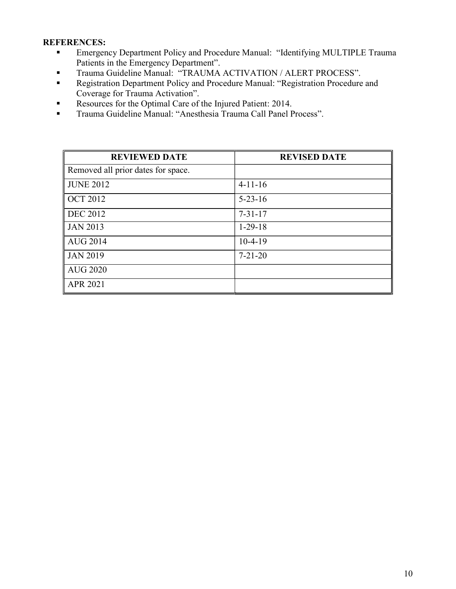### REFERENCES:

- Emergency Department Policy and Procedure Manual: "Identifying MULTIPLE Trauma Patients in the Emergency Department".
- **Trauma Guideline Manual: "TRAUMA ACTIVATION / ALERT PROCESS".**
- **Registration Department Policy and Procedure Manual: "Registration Procedure and** Coverage for Trauma Activation".
- Resources for the Optimal Care of the Injured Patient: 2014.
- Trauma Guideline Manual: "Anesthesia Trauma Call Panel Process".

| <b>REVIEWED DATE</b>               | <b>REVISED DATE</b> |
|------------------------------------|---------------------|
| Removed all prior dates for space. |                     |
| <b>JUNE 2012</b>                   | $4-11-16$           |
| <b>OCT 2012</b>                    | $5 - 23 - 16$       |
| <b>DEC 2012</b>                    | $7 - 31 - 17$       |
| <b>JAN 2013</b>                    | $1-29-18$           |
| <b>AUG 2014</b>                    | $10-4-19$           |
| <b>JAN 2019</b>                    | $7 - 21 - 20$       |
| <b>AUG 2020</b>                    |                     |
| <b>APR 2021</b>                    |                     |